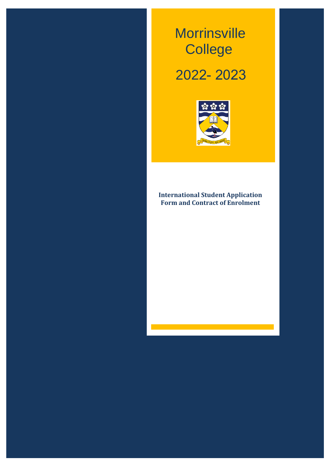# *Working together to achieve a quality education in a caring environment* Morrinsville **College**

**2021**

**Morrinsville College**

*Working together to achieve a quality education in a caring environment*

# 2022- 2023



# **International Student Application Form and Contract of Enrolment**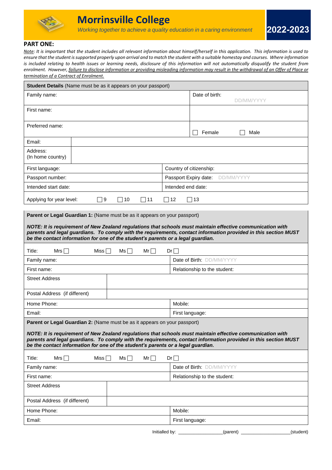

# **PART ONE:**

*Note: It is important that the student includes all relevant information about himself/herself in this application. This information is used to ensure that the student issupported properly upon arrival and to match the student with a suitable homestay and courses. Where information is included relating to health issues or learning needs, disclosure of this information will not automatically disqualify the student from enrolment. However, failure to disclose information or providing misleading information may result in the withdrawal of an Offer of Place or termination of a Contract of Enrolment.*

| Student Details (Name must be as it appears on your passport)                                                                                                                                                                                                                                                                                                                                  |                                  |  |  |  |
|------------------------------------------------------------------------------------------------------------------------------------------------------------------------------------------------------------------------------------------------------------------------------------------------------------------------------------------------------------------------------------------------|----------------------------------|--|--|--|
| Family name:                                                                                                                                                                                                                                                                                                                                                                                   | Date of birth:<br>DD/MM/YYYY     |  |  |  |
| First name:                                                                                                                                                                                                                                                                                                                                                                                    |                                  |  |  |  |
| Preferred name:                                                                                                                                                                                                                                                                                                                                                                                | Female<br>Male                   |  |  |  |
| Email:                                                                                                                                                                                                                                                                                                                                                                                         |                                  |  |  |  |
| Address:<br>(In home country)                                                                                                                                                                                                                                                                                                                                                                  |                                  |  |  |  |
| First language:                                                                                                                                                                                                                                                                                                                                                                                | Country of citizenship:          |  |  |  |
| Passport number:                                                                                                                                                                                                                                                                                                                                                                               | Passport Expiry date: DD/MM/YYYY |  |  |  |
| Intended start date:                                                                                                                                                                                                                                                                                                                                                                           | Intended end date:               |  |  |  |
| Applying for year level:<br>$\Box$ 9<br>$\Box$ 10<br>$\square$ 11                                                                                                                                                                                                                                                                                                                              | $\sqsupset$ 12<br>$\Box$ 13      |  |  |  |
| Parent or Legal Guardian 1: (Name must be as it appears on your passport)<br>NOTE: It is requirement of New Zealand regulations that schools must maintain effective communication with<br>parents and legal guardians. To comply with the requirements, contact information provided in this section MUST<br>be the contact information for one of the student's parents or a legal guardian. |                                  |  |  |  |
| Title:<br>Mrs $\Box$<br>Miss $\Box$<br>$Ms \Box$<br>$Mr\Box$                                                                                                                                                                                                                                                                                                                                   | $Dr \Box$                        |  |  |  |
| Family name:                                                                                                                                                                                                                                                                                                                                                                                   | Date of Birth: DD/MM/YYYY        |  |  |  |
| First name:                                                                                                                                                                                                                                                                                                                                                                                    | Relationship to the student:     |  |  |  |
| <b>Street Address</b>                                                                                                                                                                                                                                                                                                                                                                          |                                  |  |  |  |
| Postal Address (if different)                                                                                                                                                                                                                                                                                                                                                                  |                                  |  |  |  |
| Home Phone:                                                                                                                                                                                                                                                                                                                                                                                    | Mobile:                          |  |  |  |
| Email:                                                                                                                                                                                                                                                                                                                                                                                         | First language:                  |  |  |  |
| Parent or Legal Guardian 2: (Name must be as it appears on your passport)                                                                                                                                                                                                                                                                                                                      |                                  |  |  |  |
| NOTE: It is requirement of New Zealand regulations that schools must maintain effective communication with<br>parents and legal guardians. To comply with the requirements, contact information provided in this section MUST<br>be the contact information for one of the student's parents or a legal guardian.                                                                              |                                  |  |  |  |
| Title:<br>Mrs $\Box$<br>Miss $\Box$<br>$Mr\Box$<br>$Ms \Box$                                                                                                                                                                                                                                                                                                                                   | $Dr \Box$                        |  |  |  |
| Family name:                                                                                                                                                                                                                                                                                                                                                                                   | Date of Birth: DD/MM/YYYY        |  |  |  |
| First name:                                                                                                                                                                                                                                                                                                                                                                                    | Relationship to the student:     |  |  |  |
| <b>Street Address</b>                                                                                                                                                                                                                                                                                                                                                                          |                                  |  |  |  |
| Postal Address (if different)                                                                                                                                                                                                                                                                                                                                                                  |                                  |  |  |  |
| Home Phone:                                                                                                                                                                                                                                                                                                                                                                                    | Mobile:                          |  |  |  |
| Email:                                                                                                                                                                                                                                                                                                                                                                                         | First language:                  |  |  |  |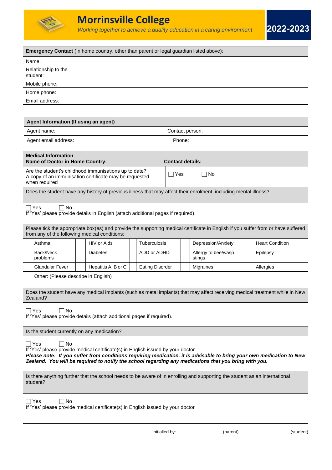

| <b>Emergency Contact</b> (In home country, other than parent or legal guardian listed above): |  |  |  |  |  |
|-----------------------------------------------------------------------------------------------|--|--|--|--|--|
| Name:                                                                                         |  |  |  |  |  |
| Relationship to the<br>student:                                                               |  |  |  |  |  |
| Mobile phone:                                                                                 |  |  |  |  |  |
| Home phone:                                                                                   |  |  |  |  |  |
| Email address:                                                                                |  |  |  |  |  |
|                                                                                               |  |  |  |  |  |

|                                                                                                                                                                                  | Agent Information (If using an agent)                                                                                                                                                                                                                                                                                                    |  |                     |  |                        |                         |                                                                                                                                   |  |                        |  |  |  |  |
|----------------------------------------------------------------------------------------------------------------------------------------------------------------------------------|------------------------------------------------------------------------------------------------------------------------------------------------------------------------------------------------------------------------------------------------------------------------------------------------------------------------------------------|--|---------------------|--|------------------------|-------------------------|-----------------------------------------------------------------------------------------------------------------------------------|--|------------------------|--|--|--|--|
|                                                                                                                                                                                  | Agent name:<br>Contact person:                                                                                                                                                                                                                                                                                                           |  |                     |  |                        |                         |                                                                                                                                   |  |                        |  |  |  |  |
| Agent email address:                                                                                                                                                             |                                                                                                                                                                                                                                                                                                                                          |  |                     |  |                        | Phone:                  |                                                                                                                                   |  |                        |  |  |  |  |
|                                                                                                                                                                                  |                                                                                                                                                                                                                                                                                                                                          |  |                     |  |                        |                         |                                                                                                                                   |  |                        |  |  |  |  |
|                                                                                                                                                                                  | <b>Medical Information</b><br>Name of Doctor in Home Country:                                                                                                                                                                                                                                                                            |  |                     |  |                        | <b>Contact details:</b> |                                                                                                                                   |  |                        |  |  |  |  |
| Are the student's childhood immunisations up to date?<br>$\Box$ Yes<br>No<br>$\overline{\phantom{a}}$<br>A copy of an immunisation certificate may be requested<br>when required |                                                                                                                                                                                                                                                                                                                                          |  |                     |  |                        |                         |                                                                                                                                   |  |                        |  |  |  |  |
|                                                                                                                                                                                  |                                                                                                                                                                                                                                                                                                                                          |  |                     |  |                        |                         | Does the student have any history of previous illness that may affect their enrolment, including mental illness?                  |  |                        |  |  |  |  |
|                                                                                                                                                                                  | $\Box$ Yes<br>∩ No<br>If 'Yes' please provide details in English (attach additional pages if required).                                                                                                                                                                                                                                  |  |                     |  |                        |                         |                                                                                                                                   |  |                        |  |  |  |  |
|                                                                                                                                                                                  | from any of the following medical conditions:                                                                                                                                                                                                                                                                                            |  |                     |  |                        |                         | Please tick the appropriate box(es) and provide the supporting medical certificate in English if you suffer from or have suffered |  |                        |  |  |  |  |
|                                                                                                                                                                                  | Asthma                                                                                                                                                                                                                                                                                                                                   |  | HIV or Aids         |  | Tuberculosis           |                         | Depression/Anxiety                                                                                                                |  | <b>Heart Condition</b> |  |  |  |  |
|                                                                                                                                                                                  | Back/Neck<br>problems                                                                                                                                                                                                                                                                                                                    |  | <b>Diabetes</b>     |  | ADD or ADHD            |                         | Allergy to bee/wasp<br>stings                                                                                                     |  | Epilepsy               |  |  |  |  |
|                                                                                                                                                                                  | <b>Glandular Fever</b>                                                                                                                                                                                                                                                                                                                   |  | Hepatitis A, B or C |  | <b>Eating Disorder</b> |                         | Migraines                                                                                                                         |  | Allergies              |  |  |  |  |
|                                                                                                                                                                                  | Other: (Please describe in English)                                                                                                                                                                                                                                                                                                      |  |                     |  |                        |                         |                                                                                                                                   |  |                        |  |  |  |  |
|                                                                                                                                                                                  | Zealand?                                                                                                                                                                                                                                                                                                                                 |  |                     |  |                        |                         | Does the student have any medical implants (such as metal implants) that may affect receiving medical treatment while in New      |  |                        |  |  |  |  |
|                                                                                                                                                                                  | ⊺No<br>∣Yes<br>If 'Yes' please provide details (attach additional pages if required).                                                                                                                                                                                                                                                    |  |                     |  |                        |                         |                                                                                                                                   |  |                        |  |  |  |  |
|                                                                                                                                                                                  | Is the student currently on any medication?                                                                                                                                                                                                                                                                                              |  |                     |  |                        |                         |                                                                                                                                   |  |                        |  |  |  |  |
|                                                                                                                                                                                  | $\sqcap$ Yes<br>∃ No<br>If 'Yes' please provide medical certificate(s) in English issued by your doctor<br>Please note: If you suffer from conditions requiring medication, it is advisable to bring your own medication to New<br>Zealand. You will be required to notify the school regarding any medications that you bring with you. |  |                     |  |                        |                         |                                                                                                                                   |  |                        |  |  |  |  |
| Is there anything further that the school needs to be aware of in enrolling and supporting the student as an international<br>student?                                           |                                                                                                                                                                                                                                                                                                                                          |  |                     |  |                        |                         |                                                                                                                                   |  |                        |  |  |  |  |
|                                                                                                                                                                                  | $\Box$ Yes<br><b>No</b><br>If 'Yes' please provide medical certificate(s) in English issued by your doctor                                                                                                                                                                                                                               |  |                     |  |                        |                         |                                                                                                                                   |  |                        |  |  |  |  |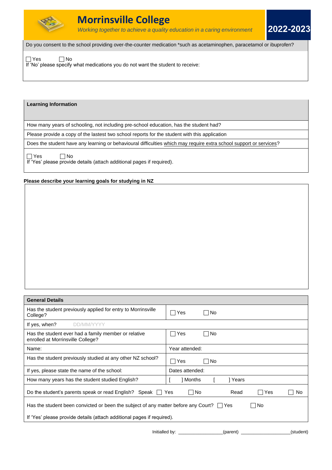

**2022-2023**

Do you consent to the school providing over-the-counter medication \*such as acetaminophen, paracetamol or ibuprofen?

 $\Box$  Yes  $\Box$  No

If 'No' please specify what medications you do not want the student to receive:

# **Learning Information**

How many years of schooling, not including pre-school education, has the student had?

Please provide a copy of the lastest two school reports for the student with this application

Does the student have any learning or behavioural difficulties which may require extra school support or services?

 $\Box$  Yes  $\Box$  No

If 'Yes' please provide details (attach additional pages if required).

# **Please describe your learning goals for studying in NZ**

| <b>General Details</b> |  |
|------------------------|--|
|                        |  |

| General Details                                                                                      |                           |  |  |  |  |
|------------------------------------------------------------------------------------------------------|---------------------------|--|--|--|--|
| Has the student previously applied for entry to Morrinsville<br>College?                             | ∣Yes<br>No.               |  |  |  |  |
| If yes, when?<br><b>DD/MM/YYYY</b>                                                                   |                           |  |  |  |  |
| Has the student ever had a family member or relative<br>enrolled at Morrinsville College?            | ⊤No<br>Yes                |  |  |  |  |
| Name:                                                                                                | Year attended:            |  |  |  |  |
| Has the student previously studied at any other NZ school?                                           | No.<br>Yes                |  |  |  |  |
| If yes, please state the name of the school:                                                         | Dates attended:           |  |  |  |  |
| How many years has the student studied English?                                                      | ] Months<br>] Years       |  |  |  |  |
| Do the student's parents speak or read English? Speak $\Box$ Yes                                     | □No<br>Read<br>Yes<br>No. |  |  |  |  |
| Has the student been convicted or been the subject of any matter before any Court? $\Box$ Yes<br>∩No |                           |  |  |  |  |
| If 'Yes' please provide details (attach additional pages if required).                               |                           |  |  |  |  |
| Initialled by:                                                                                       | (student)<br>(parent)     |  |  |  |  |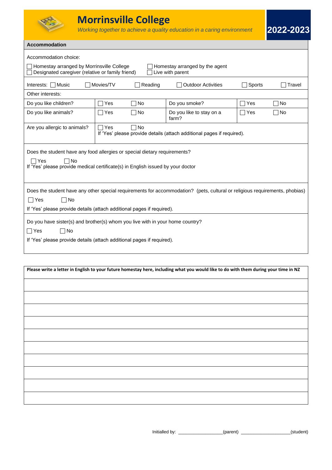

# **Accommodation**

| Accommodation choice:                                                                                                                                                                                                            |              |           |                                                                        |        |        |  |  |
|----------------------------------------------------------------------------------------------------------------------------------------------------------------------------------------------------------------------------------|--------------|-----------|------------------------------------------------------------------------|--------|--------|--|--|
| Homestay arranged by Morrinsville College<br>Homestay arranged by the agent<br>Designated caregiver (relative or family friend)<br>Live with parent                                                                              |              |           |                                                                        |        |        |  |  |
| Interests: □ Music                                                                                                                                                                                                               | Movies/TV    | Reading   | <b>Outdoor Activities</b>                                              | Sports | Travel |  |  |
| Other interests:                                                                                                                                                                                                                 |              |           |                                                                        |        |        |  |  |
| Do you like children?                                                                                                                                                                                                            | Yes          | ⊺No       | Do you smoke?                                                          | Yes    | No     |  |  |
| Do you like animals?                                                                                                                                                                                                             | ⊺Yes         | ∏No       | Do you like to stay on a<br>farm?                                      | ∏Yes   | No     |  |  |
| Are you allergic to animals?                                                                                                                                                                                                     | $\sqcap$ Yes | $\Box$ No | If 'Yes' please provide details (attach additional pages if required). |        |        |  |  |
| Does the student have any food allergies or special dietary requirements?                                                                                                                                                        |              |           |                                                                        |        |        |  |  |
| $\Box$ Yes<br>∏No<br>If 'Yes' please provide medical certificate(s) in English issued by your doctor                                                                                                                             |              |           |                                                                        |        |        |  |  |
| Does the student have any other special requirements for accommodation? (pets, cultural or religious requirements, phobias)<br>$\neg$ No<br>$\Box$ Yes<br>If 'Yes' please provide details (attach additional pages if required). |              |           |                                                                        |        |        |  |  |
| Do you have sister(s) and brother(s) whom you live with in your home country?<br>∃No<br>$\Box$ Yes<br>If 'Yes' please provide details (attach additional pages if required).                                                     |              |           |                                                                        |        |        |  |  |
| Please write a letter in English to your future homestay here, including what you would like to do with them during your time in NZ                                                                                              |              |           |                                                                        |        |        |  |  |
|                                                                                                                                                                                                                                  |              |           |                                                                        |        |        |  |  |
|                                                                                                                                                                                                                                  |              |           |                                                                        |        |        |  |  |
|                                                                                                                                                                                                                                  |              |           |                                                                        |        |        |  |  |
|                                                                                                                                                                                                                                  |              |           |                                                                        |        |        |  |  |
|                                                                                                                                                                                                                                  |              |           |                                                                        |        |        |  |  |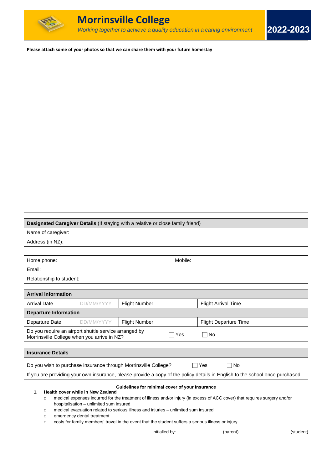

**Please attach some of your photos so that we can share them with your future homestay**

**Designated Caregiver Details** (If staying with a relative or close family friend)

| Name of caregiver:       |         |
|--------------------------|---------|
| Address (in NZ):         |         |
|                          |         |
| Home phone:              | Mobile: |
| Email:                   |         |
| Relationship to student: |         |

| <b>Arrival Information</b>   |                                                                                                      |                      |       |                              |  |  |  |
|------------------------------|------------------------------------------------------------------------------------------------------|----------------------|-------|------------------------------|--|--|--|
| <b>Arrival Date</b>          | DD/MM/YYYY                                                                                           | <b>Flight Number</b> |       | <b>Flight Arrival Time</b>   |  |  |  |
| <b>Departure Information</b> |                                                                                                      |                      |       |                              |  |  |  |
| Departure Date               | DD/MM/YYYY                                                                                           | <b>Flight Number</b> |       | <b>Flight Departure Time</b> |  |  |  |
|                              | Do you require an airport shuttle service arranged by<br>Morrinsville College when you arrive in NZ? |                      | l Yes | ⊟ No                         |  |  |  |

| <b>Insurance Details</b>                                                                                                     |      |     |  |
|------------------------------------------------------------------------------------------------------------------------------|------|-----|--|
| Do you wish to purchase insurance through Morrinsville College?                                                              | ∃Yes | ∃No |  |
| If you are providing your own insurance, please provide a copy of the policy details in English to the school once purchased |      |     |  |

# **Guidelines for minimal cover of your Insurance**

# **1. Health cover while in New Zealand**

- □ medical expenses incurred for the treatment of illness and/or injury (in excess of ACC cover) that requires surgery and/or hospitalisation – unlimited sum insured
- □ medical evacuation related to serious illness and injuries unlimited sum insured
- □ emergency dental treatment

□ costs for family members' travel in the event that the student suffers a serious illness or injury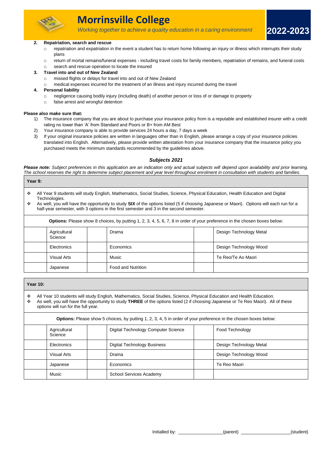

# **Morrinsville College**

*Working together to achieve a quality education in a caring environment*

#### **2. Repatriation, search and rescue**

- $\Box$  repatriation and expatriation in the event a student has to return home following an injury or illness which interrupts their study plans
- □ return of mortal remains/funeral expenses including travel costs for family members, repatriation of remains, and funeral costs
- □ search and rescue operation to locate the insured

#### **3. Travel into and out of New Zealand**

- □ missed flights or delays for travel into and out of New Zealand
- $\Box$  medical expenses incurred for the treatment of an illness and injury incurred during the travel

#### **4. Personal liability**

- □ negligence causing bodily injury (including death) of another person or loss of or damage to property
- □ false arrest and wrongful detention

#### **Please also make sure that:**

- 1) The insurance company that you are about to purchase your insurance policy from is a reputable and established insurer with a credit rating no lower than 'A' from Standard and Poors or B+ from AM Best
- 2) Your insurance company is able to provide services 24 hours a day, 7 days a week
- 3) If your original insurance policies are written in languages other than in English, please arrange a copy of your insurance policies translated into English. Alternatively, please provide written attestation from your insurance company that the insurance policy you purchased meets the minimum standards recommended by the guidelines above.

#### *Subjects 2021*

Please note: Subject preferences in this application are an indication only and actual subjects will depend upon availability and prior learning. *The school reserves the right to determine subject placement and year level throughout enrolment in consultation with students and families.* 

#### **Year 9:**

- ❖ All Year 9 students will study English, Mathematics, Social Studies, Science, Physical Education, Health Education and Digital Technologies.
- ❖ As well, you will have the opportunity to study **SIX** of the options listed (5 if choosing Japanese or Maori). Options will each run for a half-year semester, with 3 options in the first semester and 3 in the second semester.

| <b>Options:</b> Please show 8 choices, by putting 1, 2, 3, 4, 5, 6, 7, 8 in order of your preference in the chosen boxes below: |  |                    |  |                         |  |  |
|---------------------------------------------------------------------------------------------------------------------------------|--|--------------------|--|-------------------------|--|--|
| Agricultural<br>Drama<br>Science                                                                                                |  |                    |  | Design Technology Metal |  |  |
| Electronics                                                                                                                     |  | Economics          |  | Design Technology Wood  |  |  |
| Visual Arts                                                                                                                     |  | Music              |  | Te Reo/Te Ao Maori      |  |  |
| Japanese                                                                                                                        |  | Food and Nutrition |  |                         |  |  |

|        | <b>Year 10:</b>                                                                                                                                                                                                                                                                                      |                         |  |                                     |  |                         |  |  |  |
|--------|------------------------------------------------------------------------------------------------------------------------------------------------------------------------------------------------------------------------------------------------------------------------------------------------------|-------------------------|--|-------------------------------------|--|-------------------------|--|--|--|
| ٠<br>❖ | All Year 10 students will study English, Mathematics, Social Studies, Science, Physical Education and Health Education.<br>As well, you will have the opportunity to study THREE of the options listed (2 if choosing Japanese or Te Reo Maori). All of these<br>options will run for the full year. |                         |  |                                     |  |                         |  |  |  |
|        | <b>Options:</b> Please show 5 choices, by putting 1, 2, 3, 4, 5 in order of your preference in the chosen boxes below:                                                                                                                                                                               |                         |  |                                     |  |                         |  |  |  |
|        |                                                                                                                                                                                                                                                                                                      | Agricultural<br>Science |  | Digital Technology Computer Science |  | Food Technology         |  |  |  |
|        |                                                                                                                                                                                                                                                                                                      | Electronics             |  | <b>Digital Technology Business</b>  |  | Design Technology Metal |  |  |  |
|        |                                                                                                                                                                                                                                                                                                      | Visual Arts             |  | Drama                               |  | Design Technology Wood  |  |  |  |
|        |                                                                                                                                                                                                                                                                                                      | Japanese                |  | Economics                           |  | Te Reo Maori            |  |  |  |
|        |                                                                                                                                                                                                                                                                                                      | Music                   |  | <b>School Services Academy</b>      |  |                         |  |  |  |

**2022-2023**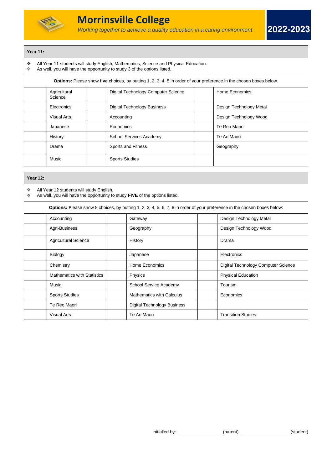

# **Year 11:**

- ❖ All Year 11 students will study English, Mathematics, Science and Physical Education.
- As well, you will have the opportunity to study 3 of the options listed.

| <b>Options:</b> Please show five choices, by putting 1, 2, 3, 4, 5 in order of your preference in the chosen boxes below. |                                     |                         |  |  |  |  |  |
|---------------------------------------------------------------------------------------------------------------------------|-------------------------------------|-------------------------|--|--|--|--|--|
| Agricultural<br>Science                                                                                                   | Digital Technology Computer Science | Home Economics          |  |  |  |  |  |
| Electronics                                                                                                               | <b>Digital Technology Business</b>  | Design Technology Metal |  |  |  |  |  |
| Visual Arts                                                                                                               | Accounting                          | Design Technology Wood  |  |  |  |  |  |
| Japanese                                                                                                                  | Economics                           | Te Reo Maori            |  |  |  |  |  |
| History                                                                                                                   | <b>School Services Academy</b>      | Te Ao Maori             |  |  |  |  |  |
| Drama                                                                                                                     | Sports and Fitness                  | Geography               |  |  |  |  |  |
| Music                                                                                                                     | <b>Sports Studies</b>               |                         |  |  |  |  |  |

| <b>Year 12:</b> |                                                                                                                         |  |                                                                                                                          |  |                                     |  |  |
|-----------------|-------------------------------------------------------------------------------------------------------------------------|--|--------------------------------------------------------------------------------------------------------------------------|--|-------------------------------------|--|--|
| ٠<br>❖          | All Year 12 students will study English.<br>As well, you will have the opportunity to study FIVE of the options listed. |  |                                                                                                                          |  |                                     |  |  |
|                 |                                                                                                                         |  | Options: Please show 8 choices, by putting 1, 2, 3, 4, 5, 6, 7, 8 in order of your preference in the chosen boxes below: |  |                                     |  |  |
|                 | Accounting                                                                                                              |  | Gateway                                                                                                                  |  | Design Technology Metal             |  |  |
|                 | Agri-Business                                                                                                           |  | Geography                                                                                                                |  | Design Technology Wood              |  |  |
|                 | <b>Agricultural Science</b>                                                                                             |  | History                                                                                                                  |  | Drama                               |  |  |
|                 | Biology                                                                                                                 |  | Japanese                                                                                                                 |  | Electronics                         |  |  |
|                 | Chemistry                                                                                                               |  | Home Economics                                                                                                           |  | Digital Technology Computer Science |  |  |
|                 | <b>Mathematics with Statistics</b>                                                                                      |  | Physics                                                                                                                  |  | <b>Physical Education</b>           |  |  |
|                 | Music                                                                                                                   |  | School Service Academy                                                                                                   |  | Tourism                             |  |  |
|                 | <b>Sports Studies</b>                                                                                                   |  | <b>Mathematics with Calculus</b>                                                                                         |  | Economics                           |  |  |
|                 | Te Reo Maori                                                                                                            |  | Digital Technology Business                                                                                              |  |                                     |  |  |
|                 | <b>Visual Arts</b>                                                                                                      |  | Te Ao Maori                                                                                                              |  | <b>Transition Studies</b>           |  |  |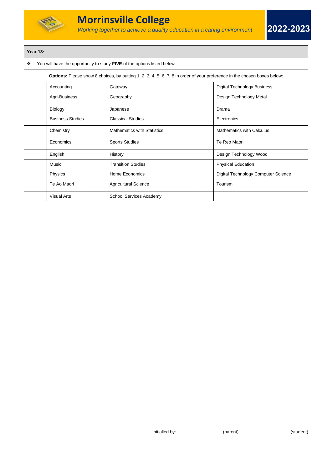

# **Year 13:**

❖ You will have the opportunity to study **FIVE** of the options listed below:

| Options: Please show 8 choices, by putting 1, 2, 3, 4, 5, 6, 7, 8 in order of your preference in the chosen boxes below: |                                                             |  |                                    |  |                                     |  |  |
|--------------------------------------------------------------------------------------------------------------------------|-------------------------------------------------------------|--|------------------------------------|--|-------------------------------------|--|--|
|                                                                                                                          | <b>Digital Technology Business</b><br>Accounting<br>Gateway |  |                                    |  |                                     |  |  |
|                                                                                                                          | Agri-Business                                               |  | Geography                          |  | Design Technology Metal             |  |  |
|                                                                                                                          | Biology                                                     |  | Japanese                           |  | Drama                               |  |  |
|                                                                                                                          | <b>Business Studies</b>                                     |  | <b>Classical Studies</b>           |  | Electronics                         |  |  |
|                                                                                                                          | Chemistry                                                   |  | <b>Mathematics with Statistics</b> |  | <b>Mathematics with Calculus</b>    |  |  |
|                                                                                                                          | Economics                                                   |  | <b>Sports Studies</b>              |  | Te Reo Maori                        |  |  |
|                                                                                                                          | English                                                     |  | History                            |  | Design Technology Wood              |  |  |
|                                                                                                                          | Music                                                       |  | <b>Transition Studies</b>          |  | <b>Physical Education</b>           |  |  |
|                                                                                                                          | Physics                                                     |  | Home Economics                     |  | Digital Technology Computer Science |  |  |
|                                                                                                                          | Te Ao Maori                                                 |  | <b>Agricultural Science</b>        |  | Tourism                             |  |  |
|                                                                                                                          | <b>Visual Arts</b>                                          |  | <b>School Services Academy</b>     |  |                                     |  |  |

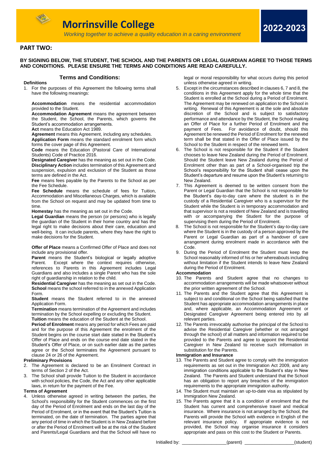

# *Working together to achieve a quality education in a caring environment* **BY SIGNING BELOW, THE STUDENT, THE SCHOOL AND THE PARENTS OR LEGAL GUARDIAN AGREE TO THOSE TERMS AND CONDITIONS. PLEASE ENSURE THE TERMS AND CONDITIONS ARE READ CAREFULLY.**

# **Terms and Conditions:**

**Definitions** 1. For the purposes of this Agreement the following terms shall have the following meanings:

**Accommodation** means the residential accommodation provided to the Student.

**Accommodation Agreement** means the agreement between the Student, the School, the Parents, which governs the Student's accommodation arrangements.

**Act** means the Education Act 1989.

**Agreement** means this Agreement, including any schedules. **Application Form** means the standard enrolment form which forms the cover page of this Agreement.

**Code** means the Education (Pastoral Care of International Students) Code of Practice 2016.

**Designated Caregiver** has the meaning as set out in the Code. **Disciplinary Action** includes termination of this Agreement and suspension, expulsion and exclusion of the Student as those terms are defined in the Act.

**Fee** means fees payable by the Parents to the School as per the Fee Schedule.

**Fee Schedule** means the schedule of fees for Tuition, Accommodation and Miscellaneous Charges, which is available from the School on request and may be updated from time to time.

**Homestay** has the meaning as set out in the Code.

**Legal Guardian** means the person (or persons) who is legally the guardian of the Student in their home country and has the legal right to make decisions about their care, education and well-being. It can include parents, where they have the right to make decisions for the Student.

**Offer of Place** means a Confirmed Offer of Place and does not include any provisional offer.

Parent means the Student's biological or legally adoptive Parent. Except where the context requires otherwise, references to Parents in this Agreement includes Legal Guardians and also includes a single Parent who has the sole right of guardianship in relation to the child.

**Residential Caregiver** has the meaning as set out in the Code. **School** means the school referred to in the annexed Application Form.

**Student** means the Student referred to in the annexed Application Form.

**Termination** means termination of the Agreement and includes termination by the School expelling or excluding the Student. **Tuition** means the education of the Student at the School.

**Period of Enrolment** means any period for which Fees are paid and for the purpose of this Agreement the enrolment of the Student begins on the course start date stated in the Student's Offer of Place and ends on the course end date stated in the Student's Offer of Place, or on such earlier date as the parties agree or the School terminates the Agreement pursuant to clause 24 or 26 of the Agreement.

#### **Preliminary Provisions**

- 2. The Agreement is declared to be an Enrolment Contract in terms of Section 2 of the Act.
- The School shall provide Tuition to the Student in accordance with school policies, the Code, the Act and any other applicable laws, in return for the payment of the Fee.

#### **Terms of Agreement**

4. Unless otherwise agreed in writing between the parties, the School's responsibility for the Student commences on the first day of the Period of Enrolment and ends on the last day of the Period of Enrolment, or in the event that the Student's Tuition is terminated, on the date of termination. The parties agree that any period of time in which the Student is in New Zealand before or after the Period of Enrolment will be at the risk of the Student and Parents/Legal Guardians and that the School will have no

legal or moral responsibility for what occurs during this period unless otherwise agreed in writing.

**2022-2023**

- 5. Except in the circumstances described in clauses 6, 7 and 8, the conditions in this Agreement apply for the whole time that the Student is enrolled at the School during a Period of Enrolment. The Agreement may be renewed on application to the School in writing. Renewal of this Agreement is at the sole and absolute discretion of the School and is subject to satisfactory performance and attendance by the Student, the School making an Offer of Place for a further Period of Enrolment and the payment of Fees. For avoidance of doubt, should this Agreement be renewed the Period of Enrolment for the renewed term shall be that stated in the Offer of Place issued by the School to the Student in respect of the renewed term.
- 6. The School is not responsible for the Student if the Student chooses to leave New Zealand during the Period of Enrolment. Should the Student leave New Zealand during the Period of Enrolment other than as part of a School-organised trip the School's responsibility for the Student shall cease upon the Student's departure and resume upon the Student's returning to New Zealand.
- 7. This Agreement is deemed to be written consent from the Parent or Legal Guardian that the School is not responsible for the Student's day-to-day care where the student is in the custody of a Residential Caregiver who is a supervisor for the Student while the Student is in temporary accommodation and that supervisor is not a resident of New Zealand and is travelling with or accompanying the Student for the purpose of supervising them during the Period of Enrolment.
- The School is not responsible for the Student's day-to-day care where the Student is in the custody of a person approved by the Parent or Legal Guardian as part of a handover of care arrangement during enrolment made in accordance with the Code.
- 9. During the Period of Enrolment the Student must keep the School reasonably informed of his or her whereabouts including without limitation if the Student intends to leave New Zealand during the Period of Enrolment.

# **Accommodation**

- 10. The Parents and Student agree that no changes to accommodation arrangements will be made whatsoever without the prior written agreement of the School.
- 11. The Parents and the Student agree that this Agreement is subject to and conditional on the School being satisfied that the Student has appropriate accommodation arrangements in place and, where applicable, an Accommodation Agreement or Designated Caregiver Agreement being entered into by all relevant parties.
- 12. The Parents irrevocably authorise the principal of the School to advise the Residential Caregiver (whether or not arranged through the school) of all matters and information required to be provided to the Parents and agree to appoint the Residential Caregiver in New Zealand to receive such information in substitution for the Parents.

#### **Immigration and Insurance**

- 13. The Parents and Student agree to comply with the immigration requirements as set out in the Immigration Act 2009, and any immigration conditions applicable to the Student's stay in New Zealand. The Parents and Student understand that the School has an obligation to report any breaches of the immigration requirements to the appropriate immigration authority.
- 14. The Student must maintain an up-to-date visa as stipulated by Immigration New Zealand.
- 15. The Parents agree that it is a condition of enrolment that the Student has current and comprehensive travel and medical insurance. Where insurance is not arranged by the School, the Parents will provide the School with evidence in English of the relevant insurance policy. If appropriate evidence is not provided, the School may organise insurance it considers appropriate and pass on this cost to the Student or Parents.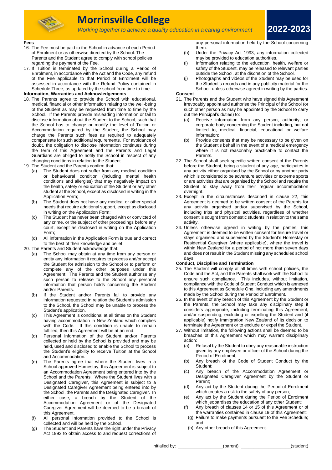

# **Morrinsville College**

*Working together to achieve a quality education in a caring environment*

**2022-2023**

#### **Fees**

- 16. The Fee must be paid to the School in advance of each Period of Enrolment or as otherwise directed by the School. The Parents and the Student agree to comply with school policies regarding the payment of the Fee.
- 17. If Tuition is terminated by the School during a Period of Enrolment, in accordance with the Act and the Code, any refund of the Fee applicable to that Period of Enrolment will be assessed in accordance with the Refund Policy contained in Schedule Three, as updated by the school from time to time.

#### **Information, Warranties and Acknowledgements**

- 18. The Parents agree to provide the School with educational, medical, financial or other information relating to the well-being of the Student as may be requested from time to time by the School. If the Parents provide misleading information or fail to disclose information about the Student to the School, such that the School has to change or modify the level of Tuition or Accommodation required by the Student, the School may charge the Parents such fees as required to adequately compensate for such additional requirements. For avoidance of doubt, the obligation to disclose information continues during the term of this Agreement and the Parents and Legal Guardians are obliged to notify the School in respect of any changing conditions in relation to the Student.
- 19. The Student and the Parents confirm that:
	- (a) The Student does not suffer from any medical condition or behavioural condition (including mental health conditions and allergies) that may negatively impact on the health, safety or education of the Student or any other student at the School, except as disclosed in writing in the Application Form;
	- (b) The Student does not have any medical or other special needs that require additional support, except as disclosed in writing on the Application Form;
	- (c) The Student has never been charged with or convicted of any crime, or the subject of other proceedings before any court, except as disclosed in writing on the Application Form;
	- (d) All information in the Application Form is true and correct to the best of their knowledge and belief.
- 20. The Parents and Student acknowledge that:
	- (a) The School may obtain at any time from any person or entity any information it requires to process and/or accept the Student for admission to the School or to perform or complete any of the other purposes under this Agreement. The Parents and the Student authorise any such person to release to the School any personal information that person holds concerning the Student and/or Parents.
	- (b) If the Student and/or Parents fail to provide any information requested in relation the Student's admission to the School, the School may be unable to process the Student's application.
	- (c) This Agreement is conditional at all times on the Student having accommodation in New Zealand which complies with the Code. If this condition is unable to remain fulfilled, then this Agreement will be at an end.
	- (d) Personal information of the Student and/or Parents collected or held by the School is provided and may be held, used and disclosed to enable the School to process the Student's eligibility to receive Tuition at the School and Accommodation.
	- (e) The Parents agree that where the Student lives in a School approved Homestay, this Agreement is subject to an Accommodation Agreement being entered into by the School and the Parents. Where the Student lives with a Designated Caregiver, this Agreement is subject to a Designated Caregiver Agreement being entered into by the School, the Parents and the Designated Caregiver. In either case, a breach by the Student of the Accommodation Agreement or of the Designated Caregiver Agreement will be deemed to be a breach of this Agreement.
	- (f) All personal information provided to the School is collected and will be held by the School.
	- (g) The Student and Parents have the right under the Privacy Act 1993 to obtain access to and request corrections of

any personal information held by the School concerning them.

- (h) Under the Privacy Act 1993, any information collected may be provided to education authorities.
- (i) Information relating to the education, health, welfare or safety of the Student, may be released to relevant parties outside the School, at the discretion of the School.
- (j) Photographs and videos of the Student may be used for the Student's records and in any publicity material for the School, unless otherwise agreed in writing by the parties.

#### **Consent**

- 21. The Parents and the Student who have signed this Agreement irrevocably appoint and authorise the Principal of the School (or such other person as may be appointed by the School to carry out the Principal's duties) to:
	- (a) Receive information from any person, authority, or corporate body concerning the Student including, but not limited to, medical, financial, educational or welfare information;
	- (b) Provide consents that may be necessary to be given on the Student's behalf in the event of a medical emergency where it is not reasonably practicable to contact the Parents.
- 22. The School shall seek specific written consent of the Parents before the Student, being a student of any age, participates in any activity either organised by the School or by another party which is considered to be adventure activities or extreme sports or are activities that are organised by the School and require the Student to stay away from their regular accommodation overnight.
- 23. Except in the circumstances described in clause 22, this Agreement is deemed to be written consent of the Parents for any activity organised and/or supervised by the School, including trips and physical activities, regardless of whether consent is sought from domestic students in relation to the same activity.
- 24. Unless otherwise agreed in writing by the parties, this Agreement is deemed to be written consent for leisure travel or stays organised and supervised by the Student's Homestay or Residential Caregiver (where applicable), where the travel is within New Zealand for a period of not more than seven days and does not result in the Student missing any scheduled school days.

#### **Conduct, Discipline and Termination**

- 25. The Student will comply at all times with school policies, the Code and the Act, and the Parents shall work with the School to ensure such compliance. This includes, without limitation, compliance with the Code of Student Conduct which is annexed to this Agreement as Schedule One, including any amendments made by the School during the Period of Enrolment.
- 26. In the event of any breach of this Agreement by the Student or the Parents, the School may take any disciplinary step it considers appropriate, including terminating this Agreement, and/or suspending, excluding or expelling the Student and (if applicable) notify Immigration New Zealand of its decision to terminate the Agreement or to exclude or expel the Student.
- 27. Without limitation, the following actions shall be deemed to be breaches of this Agreement which may warrant disciplinary action:
	- (a) Refusal by the Student to obey any reasonable instruction given by any employee or officer of the School during the Period of Enrolment;
	- (b) Any breach of the Code of Student Conduct by the Student;
	- (c) Any breach of the Accommodation Agreement or Designated Caregiver Agreement by the Student or Parent;
	- (d) Any act by the Student during the Period of Enrolment which creates a risk to the safety of any person;
	- (e) Any act by the Student during the Period of Enrolment which jeopardises the education of any other Student;
	- (f) Any breach of clauses 14 or 15 of this Agreement or of the warranties contained in clause 19 of this Agreement;
	- (g) Failure to make payments pursuant to the Fee Schedule; and
	- (h) Any other breach of this Agreement.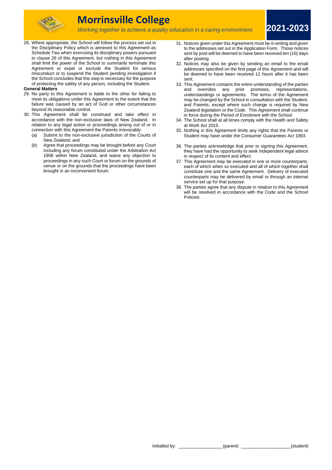

# **Morrinsville College**

*Working together to achieve a quality education in a caring environment*

28. Where appropriate, the School will follow the process set out in the Disciplinary Policy which is annexed to this Agreement as Schedule Two when exercising its disciplinary powers pursuant to clause 26 of this Agreement, but nothing in this Agreement shall limit the power of the School to summarily terminate this Agreement or expel or exclude the Student for serious misconduct or to suspend the Student pending investigation if the School concludes that this step is necessary for the purpose of protecting the safety of any person, including the Student.

#### **General Matters**

- 29. No party to this Agreement is liable to the other for failing to meet its obligations under this Agreement to the extent that the failure was caused by an act of God or other circumstances beyond its reasonable control.
- 30. This Agreement shall be construed and take effect in accordance with the non-exclusive laws of New Zealand. In relation to any legal action or proceedings arising out of or in connection with this Agreement the Parents irrevocably:
	- (a) Submit to the non-exclusive jurisdiction of the Courts of New Zealand; and
	- (b) Agree that proceedings may be brought before any Court including any forum constituted under the Arbitration Act 1908 within New Zealand, and waive any objection to proceedings in any such Court or forum on the grounds of venue or on the grounds that the proceedings have been brought in an inconvenient forum.

31. Notices given under this Agreement must be in writing and given to the addresses set out in the Application Form. Those notices sent by post will be deemed to have been received ten (10) days after posting.

**2021-2023**

- 32. Notices may also be given by sending an email to the email addresses specified on the first page of this Agreement and will be deemed to have been received 12 hours after it has been sent.
- 33. This Agreement contains the entire understanding of the parties and overrides any prior promises, representations, understandings or agreements. The terms of the Agreement may be changed by the School in consultation with the Student, and Parents, except where such change is required by New Zealand legislation or the Code. This Agreement shall continue in force during the Period of Enrolment with the School.
- 34. The School shall at all times comply with the Health and Safety at Work Act 2015.
- 35. Nothing in this Agreement limits any rights that the Parents or Student may have under the Consumer Guarantees Act 1993.
- 36. The parties acknowledge that prior to signing this Agreement, they have had the opportunity to seek independent legal advice in respect of its content and effect.
- 37. This Agreement may be executed in one or more counterparts, each of which when so executed and all of which together shall constitute one and the same Agreement. Delivery of executed counterparts may be delivered by email or through an internet service set up for that purpose.
- 38. The parties agree that any dispute in relation to this Agreement will be resolved in accordance with the Code and the School Policies.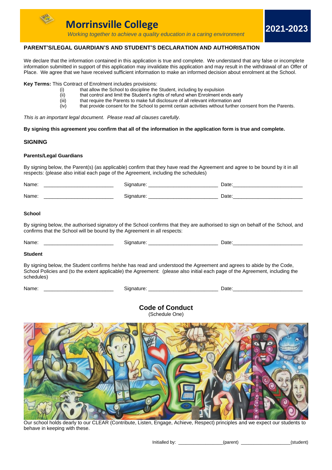

# **PARENT'S/LEGAL GUARDIAN'S AND STUDENT'S DECLARATION AND AUTHORISATION**

We declare that the information contained in this application is true and complete. We understand that any false or incomplete information submitted in support of this application may invalidate this application and may result in the withdrawal of an Offer of Place. We agree that we have received sufficient information to make an informed decision about enrolment at the School.

**Key Terms:** This Contract of Enrolment includes provisions:

- (i) that allow the School to discipline the Student, including by expulsion
- (ii) that control and limit the Student's rights of refund when Enrolment ends early<br>(iii) that require the Parents to make full disclosure of all relevant information and
- $\begin{equation} \widetilde{f}(\widetilde{f}) \text{ } & \text{that require the Parents to make full disclosure of all relevant information and} \\ \text{(iv)} & \text{that provide consent for the School to permit certain activities without further conditions.} \end{equation}$
- that provide consent for the School to permit certain activities without further consent from the Parents.

*This is an important legal document. Please read all clauses carefully.*

**By signing this agreement you confirm that all of the information in the application form is true and complete.**

# **SIGNING**

# **Parents/Legal Guardians**

By signing below, the Parent(s) (as applicable) confirm that they have read the Agreement and agree to be bound by it in all respects: (please also initial each page of the Agreement, including the schedules)

| Name: |        | Date: |
|-------|--------|-------|
| Name. | auult. | Date: |

# **School**

By signing below, the authorised signatory of the School confirms that they are authorised to sign on behalf of the School, and confirms that the School will be bound by the Agreement in all respects:

| Nа | -<br>__ |
|----|---------|
|    |         |

# **Student**

By signing below, the Student confirms he/she has read and understood the Agreement and agrees to abide by the Code, School Policies and (to the extent applicable) the Agreement: (please also initial each page of the Agreement, including the schedules)

| Name: |  |
|-------|--|
|       |  |

| Name: | nature | Date.<br>--<br>___ |
|-------|--------|--------------------|
|       |        |                    |

**Code of Conduct** (Schedule One)



Our school holds dearly to our CLEAR (Contribute, Listen, Engage, Achieve, Respect) principles and we expect our students to behave in keeping with these.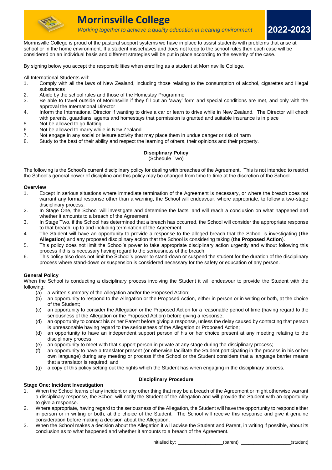

Morrinsville College is proud of the pastoral support systems we have in place to assist students with problems that arise at school or in the home environment. If a student misbehaves and does not keep to the school rules then each case will be considered on an individual basis and different strategies will be put in place according to the severity of the case.

By signing below you accept the responsibilities when enrolling as a student at Morrinsville College.

- All International Students will:<br>1. Comply with all the lay 1. Comply with all the laws of New Zealand, including those relating to the consumption of alcohol, cigarettes and illegal substances
- 2. Abide by the school rules and those of the Homestay Programme
- 3. Be able to travel outside of Morrinsville if they fill out an 'away' form and special conditions are met, and only with the approval the International Director
- 4. Inform the International Director if wanting to drive a car or learn to drive while in New Zealand. The Director will check with parents, guardians, agents and homestays that permission is granted and suitable insurance is in place
- 5. Not be allowed to go flatting
- 6. Not be allowed to marry while in New Zealand
- 7. Not engage in any social or leisure activity that may place them in undue danger or risk of harm
- 8. Study to the best of their ability and respect the learning of others, their opinions and their property.

# **Disciplinary Policy**

(Schedule Two)

The following is the School's current disciplinary policy for dealing with breaches of the Agreement. This is not intended to restrict the School's general power of discipline and this policy may be changed from time to time at the discretion of the School.

# **Overview**

- 1. Except in serious situations where immediate termination of the Agreement is necessary, or where the breach does not warrant any formal response other than a warning, the School will endeavour, where appropriate, to follow a two-stage disciplinary process.
- 2. In Stage One, the School will investigate and determine the facts, and will reach a conclusion on what happened and whether it amounts to a breach of the Agreement.
- 3. In Stage Two, if the School has determined that a breach has occurred, the School will consider the appropriate response to that breach, up to and including termination of the Agreement.
- 4. The Student will have an opportunity to provide a response to the alleged breach that the School is investigating (**the Allegation**) and any proposed disciplinary action that the School is considering taking (**the Proposed Action**).
- 5. This policy does not limit the School's power to take appropriate disciplinary action urgently and without following this process if this is necessary having regard to the seriousness of the breach.
- 6. This policy also does not limit the School's power to stand-down or suspend the student for the duration of the disciplinary process where stand-down or suspension is considered necessary for the safety or education of any person.

# **General Policy**

When the School is conducting a disciplinary process involving the Student it will endeavour to provide the Student with the following:

- (a) a written summary of the Allegation and/or the Proposed Action;
- (b) an opportunity to respond to the Allegation or the Proposed Action, either in person or in writing or both, at the choice of the Student;
- (c) an opportunity to consider the Allegation or the Proposed Action for a reasonable period of time (having regard to the seriousness of the Allegation or the Proposed Action) before giving a response;
- (d) an opportunity to contact his or her Parent before giving a response, unless the delay caused by contacting that person is unreasonable having regard to the seriousness of the Allegation or Proposed Action;
- (d) an opportunity to have an independent support person of his or her choice present at any meeting relating to the disciplinary process;
- (e) an opportunity to meet with that support person in private at any stage during the disciplinary process;
- an opportunity to have a translator present (or otherwise facilitate the Student participating in the process in his or her own language) during any meeting or process if the School or the Student considers that a language barrier means that a translator is required; and
- (g) a copy of this policy setting out the rights which the Student has when engaging in the disciplinary process.

# **Disciplinary Procedure**

# **Stage One: Incident Investigation**

- 1. When the School learns of any incident or any other thing that may be a breach of the Agreement or might otherwise warrant a disciplinary response, the School will notify the Student of the Allegation and will provide the Student with an opportunity to give a response.
- 2. Where appropriate, having regard to the seriousness of the Allegation, the Student will have the opportunity to respond either in person or in writing or both, at the choice of the Student. The School will receive this response and give it genuine consideration before making a decision about the Allegation.
- 3. When the School makes a decision about the Allegation it will advise the Student and Parent, in writing if possible, about its conclusion as to what happened and whether it amounts to a breach of the Agreement.

Initialled by: \_\_\_\_\_\_\_\_\_\_\_\_\_\_\_\_\_\_(parent) \_\_\_\_\_\_\_\_\_\_\_\_\_\_\_\_\_\_\_\_(student)

**2022-2023**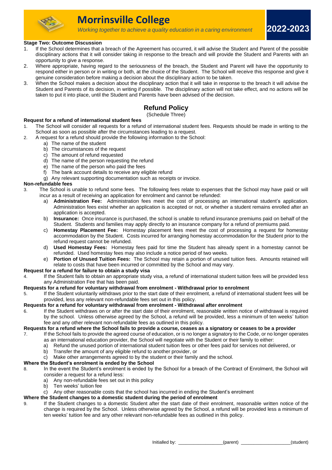

# **Stage Two: Outcome Discussion**

1. If the School determines that a breach of the Agreement has occurred, it will advise the Student and Parent of the possible disciplinary actions that it will consider taking in response to the breach and will provide the Student and Parents with an opportunity to give a response.

*Working together to achieve a quality education in a caring environment*

- 2. Where appropriate, having regard to the seriousness of the breach, the Student and Parent will have the opportunity to respond either in person or in writing or both, at the choice of the Student. The School will receive this response and give it genuine consideration before making a decision about the disciplinary action to be taken.
- 3. When the School makes a decision about the disciplinary action that it will take in response to the breach it will advise the Student and Parents of its decision, in writing if possible. The disciplinary action will not take effect, and no actions will be taken to put it into place, until the Student and Parents have been advised of the decision.

# **Refund Policy**

# (Schedule Three)

# **Request for a refund of international student fees**

- 1. The School will consider all requests for a refund of international student fees. Requests should be made in writing to the School as soon as possible after the circumstances leading to a request.
- 2. A request for a refund should provide the following information to the School:
	- a) The name of the student
		- b) The circumstances of the request
		- c) The amount of refund requested
		- d) The name of the person requesting the refund
		- e) The name of the person who paid the fees
		- f) The bank account details to receive any eligible refund
		- g) Any relevant supporting documentation such as receipts or invoice.

# **Non-refundable fees**

- 3. The School is unable to refund some fees. The following fees relate to expenses that the School may have paid or will incur as a result of receiving an application for enrolment and cannot be refunded:
	- a) **Administration Fee:** Administration fees meet the cost of processing an international student's application. Administration fees exist whether an application is accepted or not, or whether a student remains enrolled after an application is accepted.
	- b) **Insurance:** Once insurance is purchased, the school is unable to refund insurance premiums paid on behalf of the Student. Students and families may apply directly to an insurance company for a refund of premiums paid.
	- c) **Homestay Placement Fee:** Homestay placement fees meet the cost of processing a request for homestay accommodation by the Student. Costs incurred for arranging homestay accommodation for the Student prior to the refund request cannot be refunded.
	- d) **Used Homestay Fees:** Homestay fees paid for time the Student has already spent in a homestay cannot be refunded. Used homestay fees may also include a notice period of two weeks.
	- e) **Portion of Unused Tuition Fees:** The School may retain a portion of unused tuition fees. Amounts retained will relate to costs that have been incurred or committed by the School and may vary.

# **Request for a refund for failure to obtain a study visa**

4. If the Student fails to obtain an appropriate study visa, a refund of international student tuition fees will be provided less any Administration Fee that has been paid.

# **Requests for a refund for voluntary withdrawal from enrolment - Withdrawal prior to enrolment**

If the Student voluntarily withdraws prior to the start date of their enrolment, a refund of international student fees will be provided, less any relevant non-refundable fees set out in this policy.

# **Requests for a refund for voluntary withdrawal from enrolment - Withdrawal after enrolment**

6. If the Student withdraws on or after the start date of their enrolment, reasonable written notice of withdrawal is required by the school. Unless otherwise agreed by the School, a refund will be provided, less a minimum of ten weeks' tuition fee and any other relevant non-refundable fees as outlined in this policy.

**Requests for a refund where the School fails to provide a course, ceases as a signatory or ceases to be a provider**

- 7. If the School fails to provide the agreed course of education, or is no longer a signatory to the Code, or no longer operates as an international education provider, the School will negotiate with the Student or their family to either:
	- a) Refund the unused portion of international student tuition fees or other fees paid for services not delivered, or
	- b) Transfer the amount of any eligible refund to another provider, or
	- c) Make other arrangements agreed to by the student or their family and the school.

# **Where the Student's enrolment is ended by the School**

8. In the event the Student's enrolment is ended by the School for a breach of the Contract of Enrolment, the School will consider a request for a refund less:

- a) Any non-refundable fees set out in this policy
- b) Ten weeks' tuition fee
- c) Any other reasonable costs that the school has incurred in ending the Student's enrolment

# **Where the Student changes to a domestic student during the period of enrolment**

9. If the Student changes to a domestic Student after the start date of their enrolment, reasonable written notice of the change is required by the School. Unless otherwise agreed by the School, a refund will be provided less a minimum of ten weeks' tuition fee and any other relevant non-refundable fees as outlined in this policy.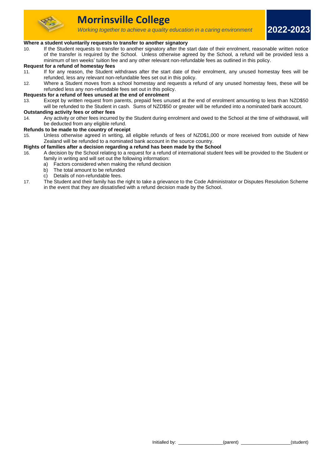

**2022-2023**

# **Where a student voluntarily requests to transfer to another signatory**

10. If the Student requests to transfer to another signatory after the start date of their enrolment, reasonable written notice of the transfer is required by the School. Unless otherwise agreed by the School, a refund will be provided less a minimum of ten weeks' tuition fee and any other relevant non-refundable fees as outlined in this policy.

# **Request for a refund of homestay fees**

- 11. If for any reason, the Student withdraws after the start date of their enrolment, any unused homestay fees will be refunded, less any relevant non-refundable fees set out in this policy.
- 12. Where a Student moves from a school homestay and requests a refund of any unused homestay fees, these will be refunded less any non-refundable fees set out in this policy.

#### **Requests for a refund of fees unused at the end of enrolment**

13. Except by written request from parents, prepaid fees unused at the end of enrolment amounting to less than NZD\$50 will be refunded to the Student in cash. Sums of NZD\$50 or greater will be refunded into a nominated bank account.

#### **Outstanding activity fees or other fees**

14. Any activity or other fees incurred by the Student during enrolment and owed to the School at the time of withdrawal, will be deducted from any eligible refund.

#### **Refunds to be made to the country of receipt**

15. Unless otherwise agreed in writing, all eligible refunds of fees of NZD\$1,000 or more received from outside of New Zealand will be refunded to a nominated bank account in the source country.

#### **Rights of families after a decision regarding a refund has been made by the School**

- 16. A decision by the School relating to a request for a refund of international student fees will be provided to the Student or family in writing and will set out the following information:
	- a) Factors considered when making the refund decision
	- b) The total amount to be refunded
	- c) Details of non-refundable fees.
- 17. The Student and their family has the right to take a grievance to the Code Administrator or Disputes Resolution Scheme in the event that they are dissatisfied with a refund decision made by the School.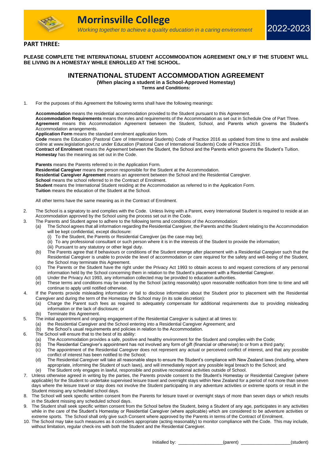

# **PART THREE:**

# **PLEASE COMPLETE THE INTERNATIONAL STUDENT ACCOMMODATION AGREEMENT ONLY IF THE STUDENT WILL BE LIVING IN A HOMESTAY WHILE ENROLLED AT THE SCHOOL.**

# **INTERNATIONAL STUDENT ACCOMMODATION AGREEMENT**

**(When placing a student in a School-Approved Homestay)**

**Terms and Conditions:**

1. For the purposes of this Agreement the following terms shall have the following meanings:

**Accommodation** means the residential accommodation provided to the Student pursuant to this Agreement. **Accommodation Requirements** means the rules and requirements of the Accommodation as set out in Schedule One of Part Three. **Agreement** means this Accommodation Agreement between the Student, School, and Parents which governs the Student's Accommodation arrangements.

**Application Form** means the standard enrolment application form.

**Code** means the Education (Pastoral Care of International Students) Code of Practice 2016 as updated from time to time and available online at www.legislation.govt.nz under Education (Pastoral Care of International Students) Code of Practice 2016.

**Contract of Enrolment** means the Agreement between the Student, the School and the Parents which governs the Student's Tuition. **Homestay** has the meaning as set out in the Code.

**Parents** means the Parents referred to in the Application Form.

**Residential Caregiver** means the person responsible for the Student at the Accommodation.

**Residential Caregiver Agreement** means an agreement between the School and the Residential Caregiver.

**School means the school referred to in the Contract of Enrolment.** 

**Student** means the International Student residing at the Accommodation as referred to in the Application Form.

**Tuition** means the education of the Student at the School.

All other terms have the same meaning as in the Contract of Enrolment.

- 2. The School is a signatory to and complies with the Code. Unless living with a Parent, every International Student is required to reside at an Accommodation approved by the School using the process set out in the Code.
- 3. The Parents and Student agree to adhere to the following terms and conditions of the Accommodation:
	- (a) The School agrees that all information regarding the Residential Caregiver, the Parents and the Student relating to the Accommodation will be kept confidential, except disclosure:
		- (i) To the Student, the Parents or Residential Caregiver (as the case may be);
		- (ii) To any professional consultant or such person where it is in the interests of the Student to provide the information;
		- (iii) Pursuant to any statutory or other legal duty.
	- (b) The Parents agree that if behaviours or conditions of the Student emerge after placement with a Residential Caregiver such that the Residential Caregiver is unable to provide the level of accommodation or care required for the safety and well-being of the Student. the School may terminate this Agreement.
	- (c) The Parents or the Student have the right under the Privacy Act 1993 to obtain access to and request corrections of any personal information held by the School concerning them in relation to the Student's placement with a Residential Caregiver.
	- (d) Under the Privacy Act 1993, any information collected may be provided to education authorities.
	- (e) These terms and conditions may be varied by the School (acting reasonably) upon reasonable notification from time to time and will continue to apply until notified otherwise.
- 4. If the Parents provide misleading information or fail to disclose information about the Student prior to placement with the Residential Caregiver and during the term of the Homestay the School may (in its sole discretion):
	- (a) Charge the Parent such fees as required to adequately compensate for additional requirements due to providing misleading information or the lack of disclosure; or
	- (b) Terminate this Agreement.
- 5. The initial appointment and ongoing engagement of the Residential Caregiver is subject at all times to:
	- (a) the Residential Caregiver and the School entering into a Residential Caregiver Agreement; and
	- (b) the School's usual requirements and policies in relation to the Accommodation.
- 6. The School will ensure that to the best of its ability:
	- (a) The Accommodation provides a safe, positive and healthy environment for the Student and complies with the Code;
	- (b) The Residential Caregiver's appointment has not involved any form of gift (financial or otherwise) to or from a third party;
	- (c) The appointment of the Residential Caregiver does not represent any actual or perceived conflict of interest, and that any possible conflict of interest has been notified to the School;
	- (d) The Residential Caregiver will take all reasonable steps to ensure the Student's compliance with New Zealand laws (including, where appropriate, informing the Student of such laws), and will immediately report any possible legal breach to the School; and
	- (e) The Student only engages in lawful, responsible and positive recreational activities outside of School.
- 7. Unless otherwise agreed in writing by the parties, the Parents provide consent to the Student's Homestay or Residential Caregiver (where applicable) for the Student to undertake supervised leisure travel and overnight stays within New Zealand for a period of not more than seven days where the leisure travel or stay does not involve the Student participating in any adventure activities or extreme sports or result in the Student missing any scheduled school days.
- 8. The School will seek specific written consent from the Parents for leisure travel or overnight stays of more than seven days or which results in the Student missing any scheduled school days.
- 9. The Student shall seek specific written consent from the School before the Student, being a Student of any age, participates in any activities while in the care of the Student's Homestay or Residential Caregiver (where applicable) which are considered to be adventure activities or extreme sports. The School shall only give such Consent where approved by the Parents in terms of the Contract of Enrolment.
- 10. The School may take such measures as it considers appropriate (acting reasonably) to monitor compliance with the Code. This may include, without limitation, regular check-ins with both the Student and the Residential Caregiver.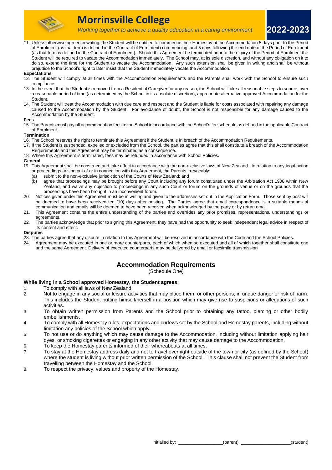

**2022-2023**

11. Unless otherwise agreed in writing, the Student will be entitled to commence their Homestay at the Accommodation 5 days prior to the Period of Enrolment (as that term is defined in the Contract of Enrolment) commencing, and 5 days following the end date of the Period of Enrolment (as that term is defined in the Contract of Enrolment). Should this Agreement be terminated prior to the expiry of the Period of Enrolment the Student will be required to vacate the Accommodation immediately. The School may, at its sole discretion, and without any obligation on it to do so, extend the time for the Student to vacate the Accommodation. Any such extension shall be given in writing and shall be without prejudice to the School's right to later insist that the Student immediately vacate the Accommodation.

#### **Expectations**

- 12. The Student will comply at all times with the Accommodation Requirements and the Parents shall work with the School to ensure such compliance.
- 13. In the event that the Student is removed from a Residential Caregiver for any reason, the School will take all reasonable steps to source, over a reasonable period of time (as determined by the School in its absolute discretion), appropriate alternative approved Accommodation for the Student.
- 14. The Student will treat the Accommodation with due care and respect and the Student is liable for costs associated with repairing any damage caused to the Accommodation by the Student. For avoidance of doubt, the School is not responsible for any damage caused to the Accommodation by the Student.

#### **Fees**

15. The Parents must pay all accommodation fees to the School in accordance with the School's fee schedule as defined in the applicable Contract of Enrolment.

#### **Termination**

- 16. The School reserves the right to terminate this Agreement if the Student is in breach of the Accommodation Requirements.
- 17. If the Student is suspended, expelled or excluded from the School, the parties agree that this shall constitute a breach of the Accommodation Requirements and this Agreement may be terminated as a consequence.
- 18. Where this Agreement is terminated, fees may be refunded in accordance with School Policies.

#### **General**

- 19. This Agreement shall be construed and take effect in accordance with the non-exclusive laws of New Zealand. In relation to any legal action or proceedings arising out of or in connection with this Agreement, the Parents irrevocably:
	- (a) submit to the non-exclusive jurisdiction of the Courts of New Zealand; and
	- (b) agree that proceedings may be brought before any Court including any forum constituted under the Arbitration Act 1908 within New Zealand, and waive any objection to proceedings in any such Court or forum on the grounds of venue or on the grounds that the proceedings have been brought in an inconvenient forum.
- 20. Notices given under this Agreement must be in writing and given to the addresses set out in the Application Form. Those sent by post will be deemed to have been received ten (10) days after posting. The Parties agree that email correspondence is a suitable means of communication and emails will be deemed to have been received when acknowledged by the party or by return email.
- 21. This Agreement contains the entire understanding of the parties and overrides any prior promises, representations, understandings or agreements.
- 22. The parties acknowledge that prior to signing this Agreement, they have had the opportunity to seek independent legal advice in respect of its content and effect.

#### **Disputes**

- 23. The parties agree that any dispute in relation to this Agreement will be resolved in accordance with the Code and the School Policies.<br>24. Agreement may be executed in one or more counterparts, each of which when so ex
- Agreement may be executed in one or more counterparts, each of which when so executed and all of which together shall constitute one and the same Agreement. Delivery of executed counterparts may be delivered by email or facsimile transmission

# **Accommodation Requirements**

(Schedule One)

# **While living in a School approved Homestay, the Student agrees:**

- 1. To comply with all laws of New Zealand.
- 2. Not to engage in any social or leisure activities that may place them, or other persons, in undue danger or risk of harm. This includes the Student putting himself/herself in a position which may give rise to suspicions or allegations of such activities.
- 3. To obtain written permission from Parents and the School prior to obtaining any tattoo, piercing or other bodily embellishments.
- 4. To comply with all Homestay rules, expectations and curfews set by the School and Homestay parents, including without limitation any policies of the School which apply.
- 5. To not use or do anything which may cause damage to the Accommodation, including without limitation applying hair dyes, or smoking cigarettes or engaging in any other activity that may cause damage to the Accommodation.
- 6. To keep the Homestay parents informed of their whereabouts at all times.
- 7. To stay at the Homestay address daily and not to travel overnight outside of the town or city (as defined by the School) where the student is living without prior written permission of the School. This clause shall not prevent the Student from travelling between the Homestay and the School.
- 8. To respect the privacy, values and property of the Homestay.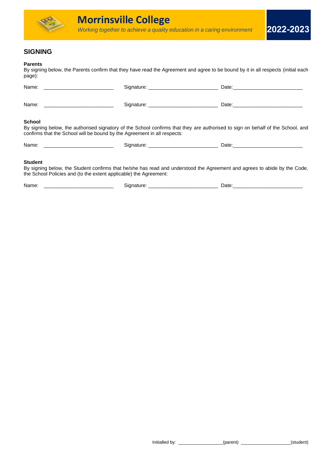

# **SIGNING**

# **Parents**

By signing below, the Parents confirm that they have read the Agreement and agree to be bound by it in all respects (initial each page):

| <b>School</b><br>By signing below, the authorised signatory of the School confirms that they are authorised to sign on behalf of the School, and<br>confirms that the School will be bound by the Agreement in all respects: |  |  |
|------------------------------------------------------------------------------------------------------------------------------------------------------------------------------------------------------------------------------|--|--|
|                                                                                                                                                                                                                              |  |  |

# **Student**

By signing below, the Student confirms that he/she has read and understood the Agreement and agrees to abide by the Code, the School Policies and (to the extent applicable) the Agreement:

Name: \_\_\_\_\_\_\_\_\_\_\_\_\_\_\_\_\_\_\_\_\_\_\_\_\_ Signature: \_\_\_\_\_\_\_\_\_\_\_\_\_\_\_\_\_\_\_\_\_\_\_\_\_ Date:\_\_\_\_\_\_\_\_\_\_\_\_\_\_\_\_\_\_\_\_\_\_\_\_\_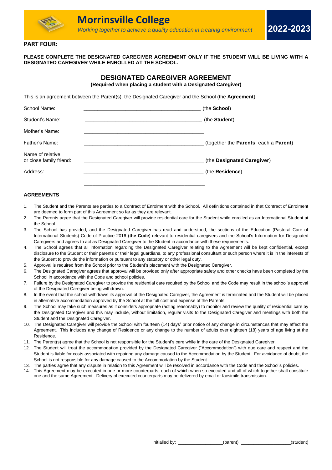

# **PART FOUR:**

**PLEASE COMPLETE THE DESIGNATED CAREGIVER AGREEMENT ONLY IF THE STUDENT WILL BE LIVING WITH A DESIGNATED CAREGIVER WHILE ENROLLED AT THE SCHOOL.**

# **DESIGNATED CAREGIVER AGREEMENT (Required when placing a student with a Designated Caregiver)**

This is an agreement between the Parent(s), the Designated Caregiver and the School (the **Agreement**).

| School Name:                                | (the School)                          |
|---------------------------------------------|---------------------------------------|
| Student's Name:                             | (the Student)                         |
| Mother's Name:                              |                                       |
| Father's Name:                              | (together the Parents, each a Parent) |
| Name of relative<br>or close family friend: | (the Designated Caregiver)            |
| Address:                                    | (the Residence)                       |
|                                             |                                       |

# **AGREEMENTS**

- 1. The Student and the Parents are parties to a Contract of Enrolment with the School. All definitions contained in that Contract of Enrolment are deemed to form part of this Agreement so far as they are relevant.
- 2. The Parents agree that the Designated Caregiver will provide residential care for the Student while enrolled as an International Student at the School.
- 3. The School has provided, and the Designated Caregiver has read and understood, the sections of the Education (Pastoral Care of International Students) Code of Practice 2016 (**the Code**) relevant to residential caregivers and the School's Information for Designated Caregivers and agrees to act as Designated Caregiver to the Student in accordance with these requirements.
- 4. The School agrees that all information regarding the Designated Caregiver relating to the Agreement will be kept confidential, except disclosure to the Student or their parents or their legal guardians, to any professional consultant or such person where it is in the interests of the Student to provide the information or pursuant to any statutory or other legal duty.
- 5. Approval is required from the School prior to the Student's placement with the Designated Caregiver.
- 6. The Designated Caregiver agrees that approval will be provided only after appropriate safety and other checks have been completed by the School in accordance with the Code and school policies.
- 7. Failure by the Designated Caregiver to provide the residential care required by the School and the Code may result in the school's approval of the Designated Caregiver being withdrawn.
- 8. In the event that the school withdraws its approval of the Designated Caregiver, the Agreement is terminated and the Student will be placed in alternative accommodation approved by the School at the full cost and expense of the Parents.
- 9. The School may take such measures as it considers appropriate (acting reasonably) to monitor and review the quality of residential care by the Designated Caregiver and this may include, without limitation, regular visits to the Designated Caregiver and meetings with both the Student and the Designated Caregiver.
- 10. The Designated Caregiver will provide the School with fourteen (14) days' prior notice of any change in circumstances that may affect the Agreement. This includes any change of Residence or any change to the number of adults over eighteen (18) years of age living at the Residence.
- 11. The Parent(s) agree that the School is not responsible for the Student's care while in the care of the Designated Caregiver.
- 12. The Student will treat the accommodation provided by the Designated Caregiver ("Accommodation") with due care and respect and the Student is liable for costs associated with repairing any damage caused to the Accommodation by the Student. For avoidance of doubt, the School is not responsible for any damage caused to the Accommodation by the Student.
- 13. The parties agree that any dispute in relation to this Agreement will be resolved in accordance with the Code and the School's policies.
- 14. This Agreement may be executed in one or more counterparts, each of which when so executed and all of which together shall constitute one and the same Agreement. Delivery of executed counterparts may be delivered by email or facsimile transmission.